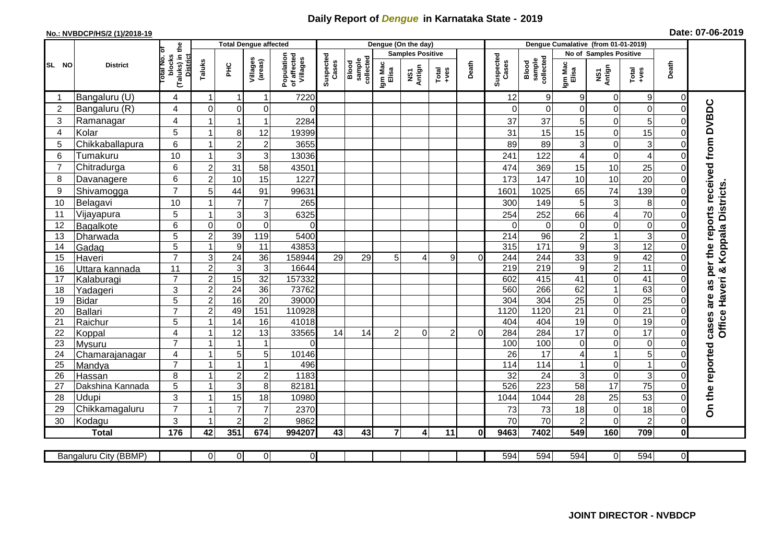## **Daily Report of** *Dengue* **in Karnataka State - 2019**

## **No.: NVBDCP/HS/2 (1)/2018-19 Date: 07-06-2019**

|                | <b>District</b>            |                                          |                  | <b>Total Dengue affected</b>  |                              |                                       |                    |                              |                         | Dengue (On the day) |                  |          |                    |                              |                  |                        |                         |                            |                                            |
|----------------|----------------------------|------------------------------------------|------------------|-------------------------------|------------------------------|---------------------------------------|--------------------|------------------------------|-------------------------|---------------------|------------------|----------|--------------------|------------------------------|------------------|------------------------|-------------------------|----------------------------|--------------------------------------------|
| SL NO          |                            |                                          |                  |                               |                              |                                       |                    |                              | <b>Samples Positive</b> |                     |                  |          |                    | No of Samples Positive       |                  |                        |                         |                            |                                            |
|                |                            | (Taluks) in the<br>otal No. ol<br>blocks | Taluks           | ΞÉ                            | Villages<br>(areas)          | Population<br>of affected<br>Villages | Suspected<br>Cases | sample<br>collected<br>Blood | Igm Mac<br>Elisa        | NS1<br>Antign       | $Tota$<br>$+ves$ | Death    | Suspected<br>Cases | collected<br>sample<br>Blood | Igm Mac<br>Elisa | NS1<br>Antign          | $Tota$<br>$+ves$        | Death                      |                                            |
|                | Bangaluru (U)              | 4                                        | $\overline{1}$   | -1                            | $\mathbf{1}$                 | 7220                                  |                    |                              |                         |                     |                  |          | 12                 | $\boldsymbol{9}$             | 9                | 0                      | $9\,$                   | 0                          |                                            |
| $\overline{2}$ | Bangaluru (R)              | 4                                        | $\mathbf 0$      | $\mathbf 0$                   | 0                            | $\Omega$                              |                    |                              |                         |                     |                  |          | $\Omega$           | $\mathbf 0$                  | $\Omega$         | 0                      | $\mathbf 0$             | $\mathbf 0$                |                                            |
| 3              | Ramanagar                  | 4                                        |                  | $\overline{1}$                | $\mathbf{1}$                 | 2284                                  |                    |                              |                         |                     |                  |          | 37                 | 37                           | 5                | 0                      | 5                       | $\Omega$                   | are as per the reports received from DVBDC |
| $\overline{4}$ | Kolar                      | 5                                        | 1                | 8                             | 12                           | 19399                                 |                    |                              |                         |                     |                  |          | 31                 | 15                           | 15               | $\mathbf 0$            | 15                      | $\mathbf 0$                |                                            |
| 5              | Chikkaballapura            | 6                                        | $\mathbf{1}$     | $\overline{c}$                | $\overline{\mathbf{c}}$      | 3655                                  |                    |                              |                         |                     |                  |          | 89                 | 89                           | 3                | 0                      | 3                       | $\mathbf 0$                |                                            |
| 6              | Tumakuru                   | 10                                       | -1               | 3                             | $\ensuremath{\mathsf{3}}$    | 13036                                 |                    |                              |                         |                     |                  |          | 241                | 122                          | 4                | $\pmb{0}$              | $\overline{\mathbf{4}}$ | $\Omega$                   |                                            |
| $\overline{7}$ | Chitradurga                | 6                                        | $\overline{2}$   | 31                            | 58                           | 43501                                 |                    |                              |                         |                     |                  |          | 474                | 369                          | 15               | 10                     | 25                      | 0                          |                                            |
| 8              | Davanagere                 | 6                                        | $\overline{2}$   | 10                            | 15                           | 1227                                  |                    |                              |                         |                     |                  |          | 173                | 147                          | 10               | 10                     | $\overline{20}$         | $\Omega$                   |                                            |
| 9              | Shivamogga                 | $\overline{7}$                           | 5                | 44                            | 91                           | 99631                                 |                    |                              |                         |                     |                  |          | 1601               | 1025                         | 65               | 74                     | 139                     | $\Omega$                   | Koppala Districts                          |
| 10             | Belagavi                   | 10                                       |                  | $\overline{7}$                | $\overline{7}$               | 265                                   |                    |                              |                         |                     |                  |          | 300                | 149                          | 5                | $\mathbf{3}$           | 8                       | $\Omega$                   |                                            |
| 11             | Vijayapura                 | 5                                        |                  | 3                             | $\mathbf{3}$                 | 6325                                  |                    |                              |                         |                     |                  |          | 254                | 252                          | 66               | 4                      | 70                      | $\mathbf 0$                |                                            |
| 12             | Bagalkote                  | 6                                        | $\Omega$         | $\mathbf 0$                   | $\mathbf 0$                  | $\Omega$                              |                    |                              |                         |                     |                  |          | $\Omega$           | $\Omega$                     | $\mathbf 0$      | 0                      | $\overline{0}$          | $\mathbf 0$                |                                            |
| 13             | Dharwada                   | $\overline{5}$                           | $\overline{2}$   | 39                            | 119                          | 5400                                  |                    |                              |                         |                     |                  |          | $\overline{214}$   | 96                           | $\overline{2}$   | $\mathbf{1}$           | $\overline{3}$          | $\overline{0}$             |                                            |
| 14             | Gadag                      | 5                                        | $\mathbf{1}$     | $\overline{9}$                | 11                           | 43853                                 |                    |                              |                         |                     |                  |          | 315                | $\frac{1}{171}$              | $9\,$            | 3                      | 12                      | $\Omega$                   |                                            |
| 15             | Haveri                     | $\overline{7}$                           | $\mathsf 3$      | $\overline{24}$               | 36                           | 158944                                | 29                 | 29                           | 5                       | 4                   | 9                | $\Omega$ | 244                | 244                          | 33               | 9                      | 42                      | $\mathbf 0$                |                                            |
| 16             | Uttara kannada             | 11                                       | $\overline{2}$   | 3                             | $\mathbf{3}$                 | 16644                                 |                    |                              |                         |                     |                  |          | 219                | 219                          | $9\,$            | $\overline{c}$         | $\overline{11}$         | $\Omega$                   |                                            |
| 17             | Kalaburagi                 | $\overline{7}$                           | $\overline{2}$   | 15                            | 32                           | 157332                                |                    |                              |                         |                     |                  |          | 602                | 415                          | 41               | 0                      | 41                      | $\Omega$                   |                                            |
| 18             | Yadageri                   | 3                                        | $\overline{2}$   | $\overline{24}$               | 36                           | 73762                                 |                    |                              |                         |                     |                  |          | 560                | 266                          | 62               | 1                      | 63                      | $\Omega$                   | Haveri &                                   |
| 19             | <b>Bidar</b>               | 5                                        | $\boldsymbol{2}$ | 16                            | $\overline{20}$              | 39000                                 |                    |                              |                         |                     |                  |          | 304                | 304                          | $\overline{25}$  | 0                      | $\overline{25}$         | $\mathbf 0$                |                                            |
| 20             | Ballari                    | $\overline{7}$                           | $\overline{2}$   | 49                            | 151                          | 110928                                |                    |                              |                         |                     |                  |          | 1120               | 1120                         | 21               | 0                      | 21                      | 0                          |                                            |
| 21             | Raichur                    | 5                                        |                  | $\overline{14}$               | 16                           | 41018                                 |                    |                              |                         |                     |                  |          | 404                | 404                          | 19               | 0                      | $\overline{19}$         | $\mathbf 0$                | Office<br>cases                            |
| 22             | Koppal                     | $\overline{4}$                           |                  | $\overline{12}$               | 13                           | 33565                                 | 14                 | 14                           | $\overline{2}$          | $\Omega$            | $\overline{2}$   | $\Omega$ | 284                | 284                          | 17               | $\overline{0}$         | 17                      | $\overline{0}$             |                                            |
| 23             | Mysuru                     | $\overline{7}$                           | -1               | -1                            | $\mathbf{1}$                 | $\Omega$                              |                    |                              |                         |                     |                  |          | 100                | 100                          | $\mathbf 0$      | 0                      | $\overline{0}$          | $\Omega$                   |                                            |
| 24             | Chamarajanagar             | 4<br>$\overline{7}$                      | $\mathbf{1}$     | $\mathbf 5$<br>$\overline{1}$ | $\sqrt{5}$<br>$\overline{1}$ | 10146                                 |                    |                              |                         |                     |                  |          | 26                 | 17                           | 4                | $\mathbf{1}$           | 5                       | $\Omega$                   |                                            |
| 25             | Mandya                     | 8                                        | $\overline{ }$   |                               |                              | 496<br>1183                           |                    |                              |                         |                     |                  |          | 114<br>32          | 114<br>24                    |                  | 0                      | $\overline{1}$          | 0                          |                                            |
| 26<br>27       | Hassan<br>Dakshina Kannada | 5                                        | $\overline{1}$   | $\sqrt{2}$<br>$\overline{3}$  | $\sqrt{2}$<br>$\overline{8}$ | 82181                                 |                    |                              |                         |                     |                  |          | 526                | 223                          | 3<br>58          | $\boldsymbol{0}$<br>17 | 3<br>75                 | $\mathbf 0$<br>$\mathbf 0$ |                                            |
| 28             | Udupi                      | 3                                        |                  | 15                            | 18                           | 10980                                 |                    |                              |                         |                     |                  |          | 1044               | 1044                         | 28               | 25                     | 53                      | $\Omega$                   |                                            |
| 29             | Chikkamagaluru             | $\overline{7}$                           |                  | $\overline{7}$                | $\overline{7}$               | 2370                                  |                    |                              |                         |                     |                  |          | 73                 | 73                           | 18               | 0                      | 18                      | $\Omega$                   | On the reported                            |
| 30             | Kodagu                     | 3                                        |                  | $\overline{2}$                | $\overline{c}$               | 9862                                  |                    |                              |                         |                     |                  |          | 70                 | 70                           | $\overline{2}$   | 0                      | $\overline{c}$          | $\Omega$                   |                                            |
|                | <b>Total</b>               | 176                                      | 42               | 351                           | 674                          | 994207                                | 43                 | 43                           | $\overline{7}$          | 4                   | 11               | $\bf{0}$ | 9463               | 7402                         | 549              | 160                    | 709                     | $\bf{0}$                   |                                            |
|                |                            |                                          |                  |                               |                              |                                       |                    |                              |                         |                     |                  |          |                    |                              |                  |                        |                         |                            |                                            |
|                | Bangaluru City (BBMP)      |                                          | $\Omega$         | $\overline{0}$                | $\overline{0}$               | $\overline{O}$                        |                    |                              |                         |                     |                  |          | 594                | 594                          | 594              | $\overline{0}$         | 594                     | $\overline{0}$             |                                            |